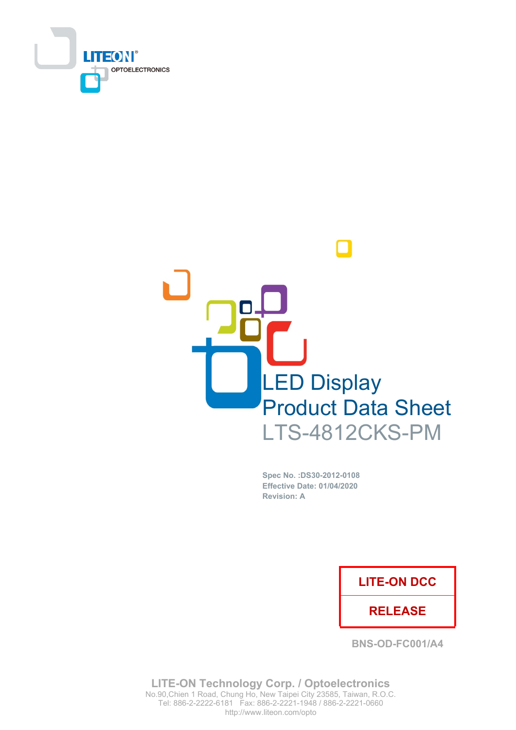



Spec No. : DS30-2012-0108 **Effective Date: 01/04/2020 Revision: A** 

### **LITE-ON DCC**

### **RELEASE**

**BNS-OD-FC001/A4** 

**LITE-ON Technology Corp. / Optoelectronics** No.90, Chien 1 Road, Chung Ho, New Taipei City 23585, Taiwan, R.O.C. Tel: 886-2-2222-6181 Fax: 886-2-2221-1948 / 886-2-2221-0660 http://www.liteon.com/opto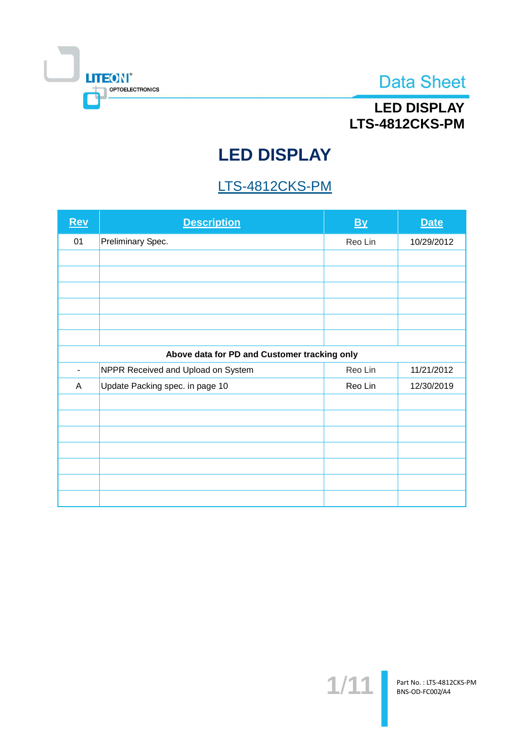

## **LED DISPLAY** LTS-4812CKS-PM

# **LED DISPLAY**

## LTS-4812CKS-PM

| <b>Rev</b>               | <b>Description</b>                           | <b>By</b> | <b>Date</b> |
|--------------------------|----------------------------------------------|-----------|-------------|
| 01                       | Preliminary Spec.                            | Reo Lin   | 10/29/2012  |
|                          |                                              |           |             |
|                          |                                              |           |             |
|                          |                                              |           |             |
|                          |                                              |           |             |
|                          |                                              |           |             |
|                          |                                              |           |             |
|                          | Above data for PD and Customer tracking only |           |             |
| $\overline{\phantom{a}}$ | NPPR Received and Upload on System           | Reo Lin   | 11/21/2012  |
| A                        | Update Packing spec. in page 10              | Reo Lin   | 12/30/2019  |
|                          |                                              |           |             |
|                          |                                              |           |             |
|                          |                                              |           |             |
|                          |                                              |           |             |
|                          |                                              |           |             |
|                          |                                              |           |             |
|                          |                                              |           |             |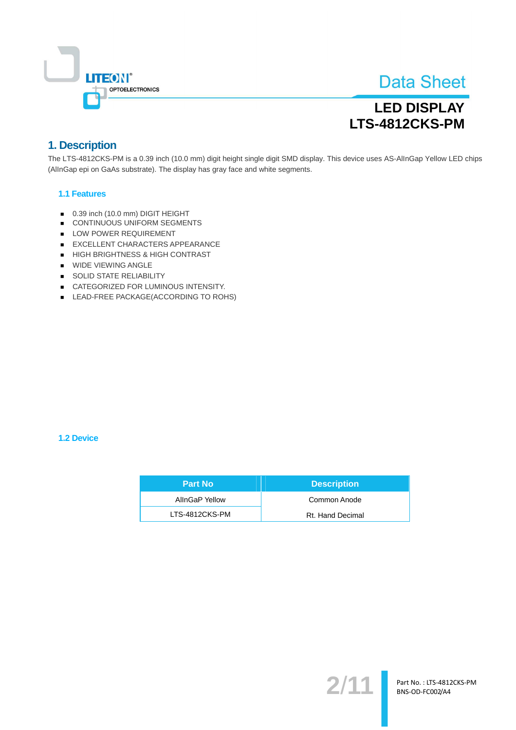

## **LED DISPLAY LTS-4812CKS-PM**

### 1. Description

The LTS-4812CKS-PM is a 0.39 inch (10.0 mm) digit height single digit SMD display. This device uses AS-AllnGap Yellow LED chips (AllnGap epi on GaAs substrate). The display has gray face and white segments.

#### **1.1 Features**

- 0.39 inch (10.0 mm) DIGIT HEIGHT  $\blacksquare$
- CONTINUOUS UNIFORM SEGMENTS
- LOW POWER REQUIREMENT
- EXCELLENT CHARACTERS APPEARANCE
- HIGH BRIGHTNESS & HIGH CONTRAST
- **WIDE VIEWING ANGLE**
- SOLID STATE RELIABILITY
- CATEGORIZED FOR LUMINOUS INTENSITY.
- LEAD-FREE PACKAGE(ACCORDING TO ROHS)

#### **1.2 Device**

| <b>Part No</b> | <b>Description</b> |
|----------------|--------------------|
| AllnGaP Yellow | Common Anode       |
| LTS-4812CKS-PM | Rt. Hand Decimal   |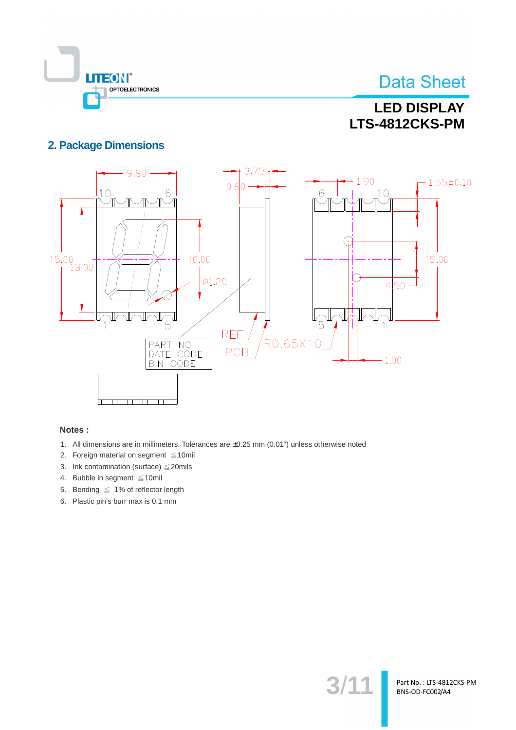

## **LED DISPLAY LTS-4812CKS-PM**

### **2. Package Dimensions**



#### Notes:

- 1. All dimensions are in millimeters. Tolerances are ±0.25 mm (0.01") unless otherwise noted
- 2. Foreign material on segment  $\leq 10$ mil
- 3. Ink contamination (surface)  $\leq$  20mils
- 4. Bubble in segment  $\leq 10$ mil
- 5. Bending  $\leq 1\%$  of reflector length
- 6. Plastic pin's burr max is 0.1 mm

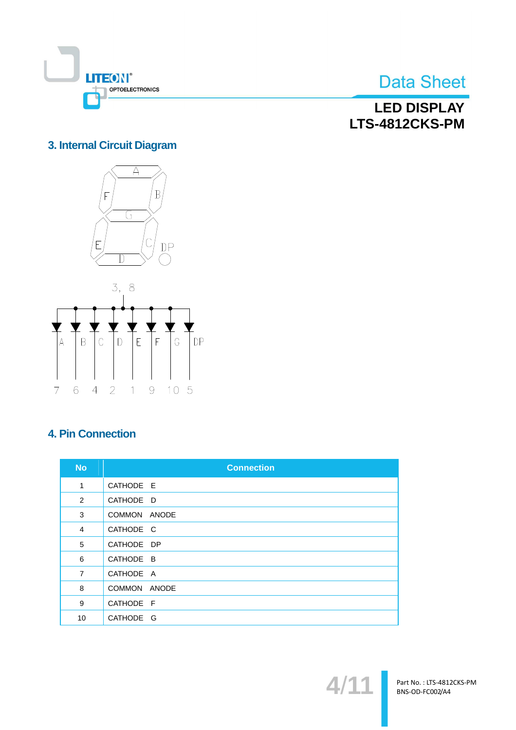

**LED DISPLAY** LTS-4812CKS-PM

### 3. Internal Circuit Diagram





### **4. Pin Connection**

| <b>No</b>      | <b>Connection</b>      |
|----------------|------------------------|
| $\mathbf{1}$   | CATHODE E              |
| 2              | CATHODE D              |
| 3              | <b>COMMON</b><br>ANODE |
| $\overline{4}$ | CATHODE C              |
| 5              | CATHODE DP             |
| 6              | CATHODE B              |
| $\overline{7}$ | CATHODE A              |
| 8              | COMMON ANODE           |
| 9              | CATHODE F              |
| 10             | CATHODE G              |

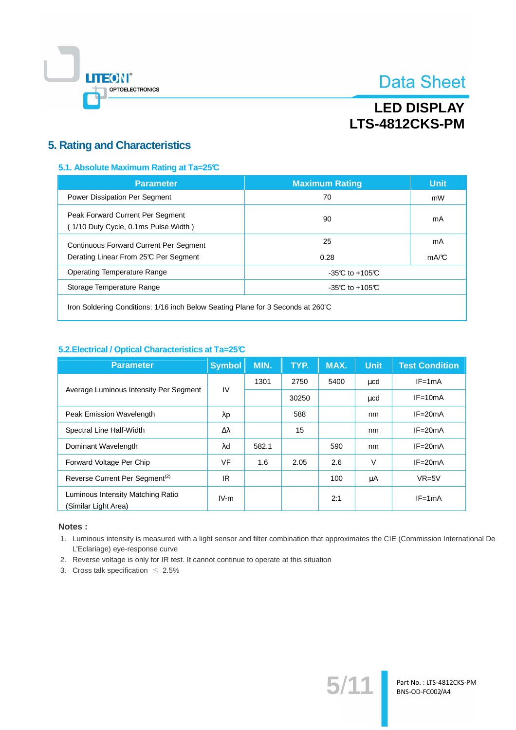

## **LED DISPLAY LTS-4812CKS-PM**

### **5. Rating and Characteristics**

#### 5.1. Absolute Maximum Rating at Ta=25°C

| <b>Parameter</b>                                                         | <b>Maximum Rating</b> | <b>Unit</b> |
|--------------------------------------------------------------------------|-----------------------|-------------|
| Power Dissipation Per Segment                                            | 70                    | mW          |
| Peak Forward Current Per Segment<br>(1/10 Duty Cycle, 0.1ms Pulse Width) | 90                    | mA          |
| <b>Continuous Forward Current Per Segment</b>                            | 25                    | mA          |
| Derating Linear From 25°C Per Segment                                    | 0.28                  | mA/C        |
| Operating Temperature Range                                              | $-35C$ to $+105C$     |             |
| Storage Temperature Range                                                | $-35C$ to $+105C$     |             |
|                                                                          |                       |             |

Iron Soldering Conditions: 1/16 inch Below Seating Plane for 3 Seconds at 260°C

#### 5.2. Electrical / Optical Characteristics at Ta=25°C

| <b>Parameter</b>                                          | <b>Symbol</b>   | MIN.  | TYP.  | MAX. | <b>Unit</b> | <b>Test Condition</b> |
|-----------------------------------------------------------|-----------------|-------|-------|------|-------------|-----------------------|
| Average Luminous Intensity Per Segment                    | IV              | 1301  | 2750  | 5400 | $\mu$ cd    | $IF = 1mA$            |
|                                                           |                 |       | 30250 |      | $\mu$ cd    | $IF = 10mA$           |
| <b>Peak Emission Wavelength</b>                           | $\lambda p$     |       | 588   |      | nm          | $IF = 20mA$           |
| Spectral Line Half-Width                                  | $\Delta\lambda$ |       | 15    |      | nm          | $IF = 20mA$           |
| Dominant Wavelength                                       | λd              | 582.1 |       | 590  | nm          | $IF = 20mA$           |
| Forward Voltage Per Chip                                  | <b>VF</b>       | 1.6   | 2.05  | 2.6  | $\vee$      | $IF = 20mA$           |
| Reverse Current Per Segment <sup>(2)</sup>                | IR              |       |       | 100  | μA          | $VR=5V$               |
| Luminous Intensity Matching Ratio<br>(Similar Light Area) | $IV-m$          |       |       | 2:1  |             | $IF = 1mA$            |

#### Notes:

1. Luminous intensity is measured with a light sensor and filter combination that approximates the CIE (Commission International De L'Eclariage) eye-response curve

 $5/1$ 

Part No.: LTS-4812CKS-PM BNS-OD-FC002/A4

- 2. Reverse voltage is only for IR test. It cannot continue to operate at this situation
- 3. Cross talk specification  $\leq 2.5\%$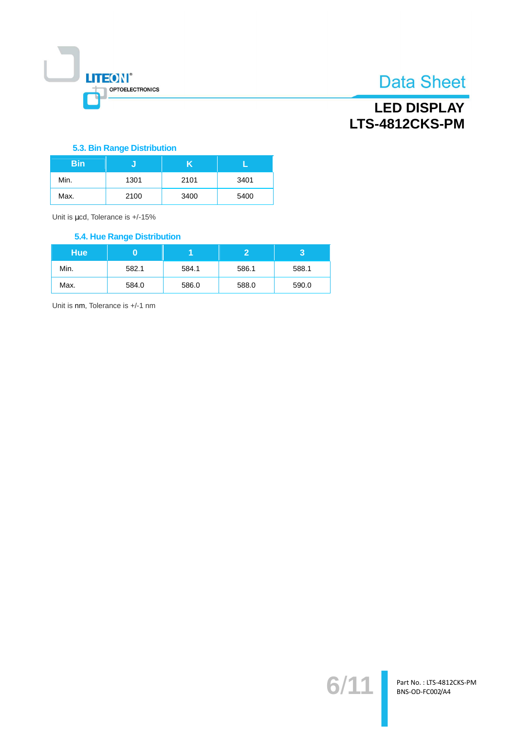

## **LED DISPLAY** LTS-4812CKS-PM

#### 5.3. Bin Range Distribution

| <b>Bin</b> |      |      |      |
|------------|------|------|------|
| Min.       | 1301 | 2101 | 3401 |
| Max.       | 2100 | 3400 | 5400 |

Unit is µcd, Tolerance is +/-15%

#### **5.4. Hue Range Distribution**

| <b>Hue</b> |       |       |       |       |
|------------|-------|-------|-------|-------|
| Min.       | 582.1 | 584.1 | 586.1 | 588.1 |
| Max.       | 584.0 | 586.0 | 588.0 | 590.0 |

Unit is nm, Tolerance is +/-1 nm

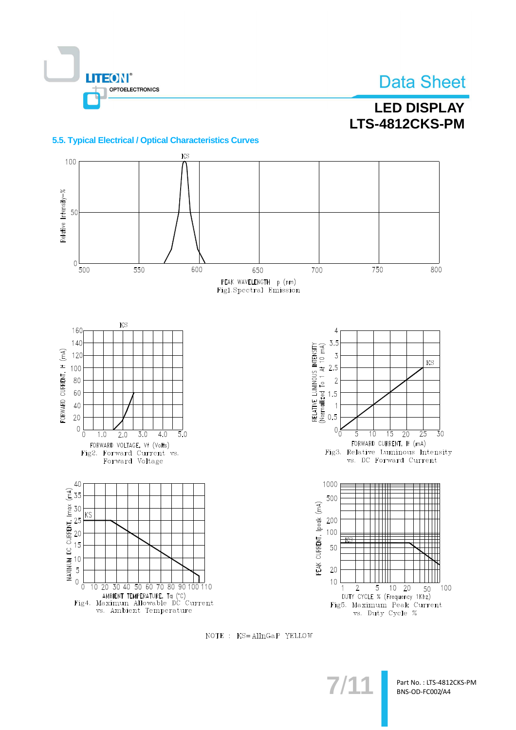

### **LED DISPLAY LTS-4812CKS-PM**

#### 5.5. Typical Electrical / Optical Characteristics Curves



NOTE : KS=AllnGaP YELLOW

Part No.: LTS-4812CKS-PM BNS-OD-FC002/A4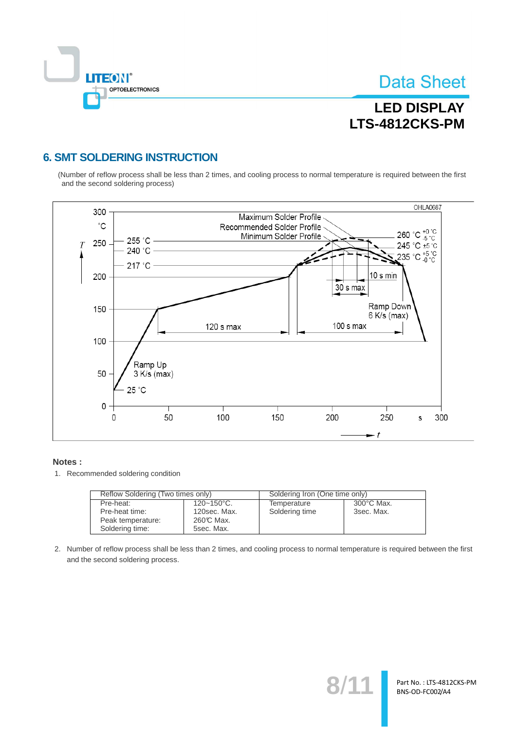

Part No.: LTS-4812CKS-PM BNS-OD-FC002/A4

## **LED DISPLAY** LTS-4812CKS-PM

### **6. SMT SOLDERING INSTRUCTION**

(Number of reflow process shall be less than 2 times, and cooling process to normal temperature is required between the first and the second soldering process)



#### Notes:

1. Recommended soldering condition

| Reflow Soldering (Two times only) |                        | Soldering Iron (One time only) |                      |  |
|-----------------------------------|------------------------|--------------------------------|----------------------|--|
| Pre-heat:                         | $120 - 150^{\circ}$ C. | Temperature                    | $300^{\circ}$ C Max. |  |
| Pre-heat time:                    | 120sec. Max.           | Soldering time                 | 3sec. Max.           |  |
| Peak temperature:                 | 260℃ Max.              |                                |                      |  |
| Soldering time:                   | 5sec. Max.             |                                |                      |  |

2. Number of reflow process shall be less than 2 times, and cooling process to normal temperature is required between the first and the second soldering process.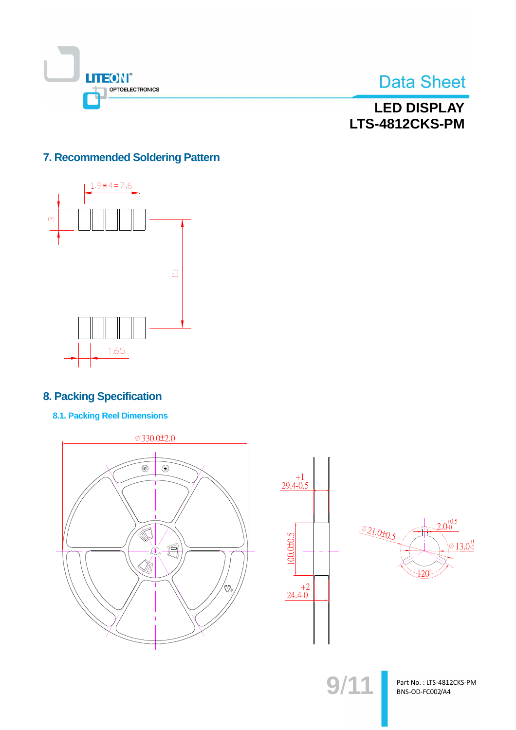



**LED DISPLAY** LTS-4812CKS-PM

### 7. Recommended Soldering Pattern



### **8. Packing Specification**

**8.1. Packing Reel Dimensions** 







 $9/11$ 

Part No.: LTS-4812CKS-PM BNS-OD-FC002/A4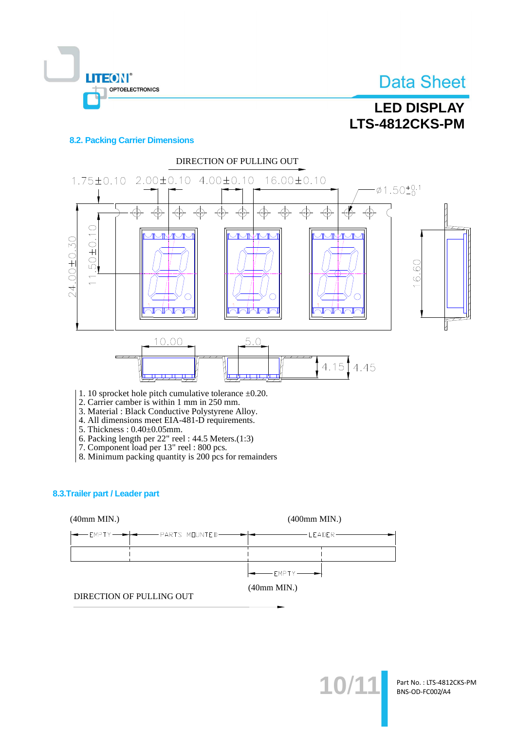



#### **8.2. Packing Carrier Dimensions**

OPTOELECTRONICS

**LITEON®** 



2. Carrier camber is within 1 mm in 250 mm.

3. Material: Black Conductive Polystyrene Alloy.

4. All dimensions meet EIA-481-D requirements.

- 5. Thickness: 0.40±0.05mm.
- 
- 
- 6. Packing length per 22" reel : 44.5 Meters.(1:3)<br>7. Component load per 13" reel : 800 pcs.<br>8. Minimum packing quantity is 200 pcs for remainders

#### 8.3. Trailer part / Leader part